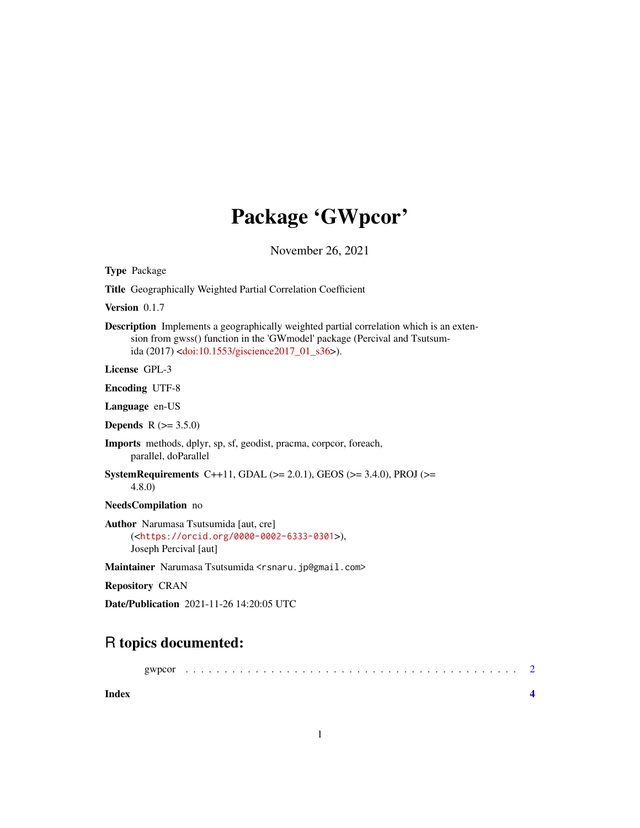## Package 'GWpcor'

November 26, 2021

Type Package

Title Geographically Weighted Partial Correlation Coefficient

Version 0.1.7

Description Implements a geographically weighted partial correlation which is an extension from gwss() function in the 'GWmodel' package (Percival and Tsutsumida (2017) [<doi:10.1553/giscience2017\\_01\\_s36>](https://doi.org/10.1553/giscience2017_01_s36)).

License GPL-3

Encoding UTF-8

Language en-US

**Depends** R  $(>= 3.5.0)$ 

Imports methods, dplyr, sp, sf, geodist, pracma, corpcor, foreach, parallel, doParallel

SystemRequirements C++11, GDAL ( $>= 2.0.1$ ), GEOS ( $>= 3.4.0$ ), PROJ ( $>=$ 4.8.0)

NeedsCompilation no

Author Narumasa Tsutsumida [aut, cre] (<<https://orcid.org/0000-0002-6333-0301>>), Joseph Percival [aut]

Maintainer Narumasa Tsutsumida <rsnaru.jp@gmail.com>

Repository CRAN

Date/Publication 2021-11-26 14:20:05 UTC

### R topics documented:

| gwncol |  |  |  | - 2 |
|--------|--|--|--|-----|
|        |  |  |  |     |

**Index** [4](#page-3-0)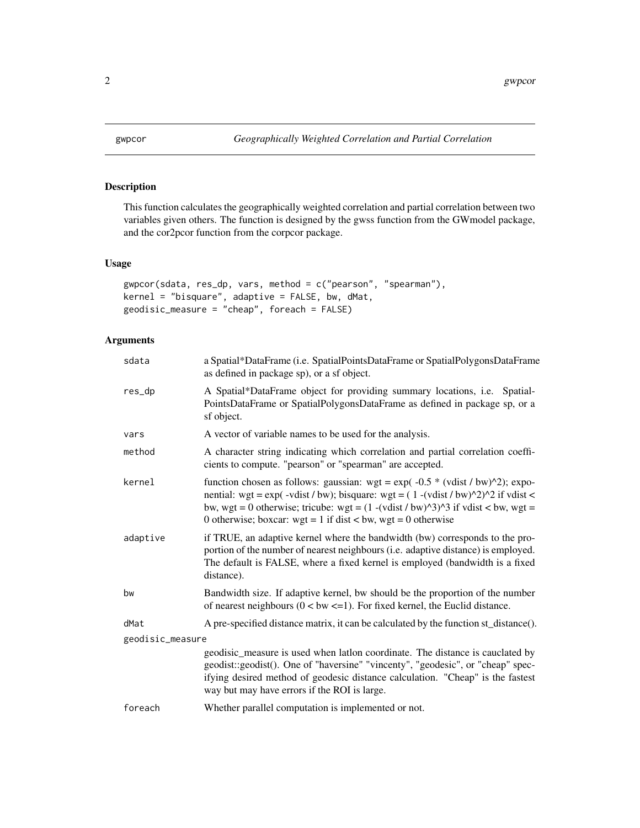<span id="page-1-0"></span>

#### Description

This function calculates the geographically weighted correlation and partial correlation between two variables given others. The function is designed by the gwss function from the GWmodel package, and the cor2pcor function from the corpcor package.

#### Usage

```
gwpcor(sdata, res_dp, vars, method = c("pearson", "spearman"),
kernel = "bisquare", adaptive = FALSE, bw, dMat,
geodisic_measure = "cheap", foreach = FALSE)
```
#### Arguments

| sdata            | a Spatial*DataFrame (i.e. SpatialPointsDataFrame or SpatialPolygonsDataFrame<br>as defined in package sp), or a sf object.                                                                                                                                                                                                                                      |  |  |
|------------------|-----------------------------------------------------------------------------------------------------------------------------------------------------------------------------------------------------------------------------------------------------------------------------------------------------------------------------------------------------------------|--|--|
| res_dp           | A Spatial*DataFrame object for providing summary locations, i.e. Spatial-<br>PointsDataFrame or SpatialPolygonsDataFrame as defined in package sp, or a<br>sf object.                                                                                                                                                                                           |  |  |
| vars             | A vector of variable names to be used for the analysis.                                                                                                                                                                                                                                                                                                         |  |  |
| method           | A character string indicating which correlation and partial correlation coeffi-<br>cients to compute. "pearson" or "spearman" are accepted.                                                                                                                                                                                                                     |  |  |
| kernel           | function chosen as follows: gaussian: wgt = $exp(-0.5 * (vdist / bw)^2)$ ; expo-<br>nential: wgt = $\exp(-v \text{dist}/bw)$ ; bisquare: wgt = $(1 - (v \text{dist}/bw)^{\wedge}2)^{\wedge}2$ if vdist <<br>bw, wgt = 0 otherwise; tricube: wgt = $(1 - (vdist / bw)^3)^3$ if vdist < bw, wgt =<br>0 otherwise; boxcar: wgt = 1 if dist < bw, wgt = 0 otherwise |  |  |
| adaptive         | if TRUE, an adaptive kernel where the bandwidth (bw) corresponds to the pro-<br>portion of the number of nearest neighbours (i.e. adaptive distance) is employed.<br>The default is FALSE, where a fixed kernel is employed (bandwidth is a fixed<br>distance).                                                                                                 |  |  |
| bw               | Bandwidth size. If adaptive kernel, bw should be the proportion of the number<br>of nearest neighbours $(0 < bw < = 1)$ . For fixed kernel, the Euclid distance.                                                                                                                                                                                                |  |  |
| dMat             | A pre-specified distance matrix, it can be calculated by the function st_distance().                                                                                                                                                                                                                                                                            |  |  |
| geodisic_measure |                                                                                                                                                                                                                                                                                                                                                                 |  |  |
|                  | geodisic_measure is used when latlon coordinate. The distance is cauclated by<br>geodist::geodist(). One of "haversine" "vincenty", "geodesic", or "cheap" spec-<br>ifying desired method of geodesic distance calculation. "Cheap" is the fastest<br>way but may have errors if the ROI is large.                                                              |  |  |
| foreach          | Whether parallel computation is implemented or not.                                                                                                                                                                                                                                                                                                             |  |  |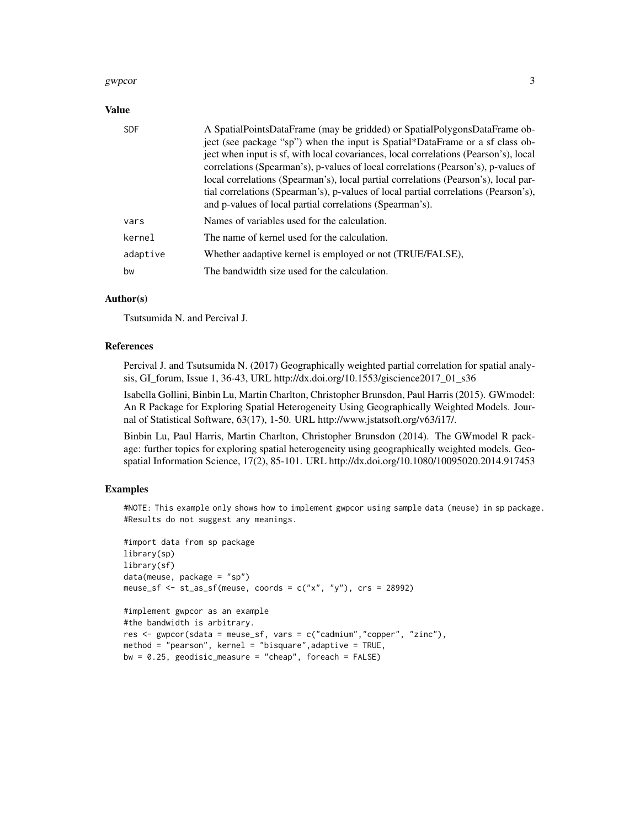#### gwpcor 3

#### Value

| <b>SDF</b> | A SpatialPointsDataFrame (may be gridded) or SpatialPolygonsDataFrame ob-<br>ject (see package "sp") when the input is Spatial*DataFrame or a sf class ob-<br>ject when input is sf, with local covariances, local correlations (Pearson's), local<br>correlations (Spearman's), p-values of local correlations (Pearson's), p-values of<br>local correlations (Spearman's), local partial correlations (Pearson's), local par-<br>tial correlations (Spearman's), p-values of local partial correlations (Pearson's),<br>and p-values of local partial correlations (Spearman's). |
|------------|------------------------------------------------------------------------------------------------------------------------------------------------------------------------------------------------------------------------------------------------------------------------------------------------------------------------------------------------------------------------------------------------------------------------------------------------------------------------------------------------------------------------------------------------------------------------------------|
| vars       | Names of variables used for the calculation.                                                                                                                                                                                                                                                                                                                                                                                                                                                                                                                                       |
| kernel     | The name of kernel used for the calculation.                                                                                                                                                                                                                                                                                                                                                                                                                                                                                                                                       |
| adaptive   | Whether aadaptive kernel is employed or not (TRUE/FALSE),                                                                                                                                                                                                                                                                                                                                                                                                                                                                                                                          |
| bw         | The bandwidth size used for the calculation.                                                                                                                                                                                                                                                                                                                                                                                                                                                                                                                                       |

#### Author(s)

Tsutsumida N. and Percival J.

#### References

Percival J. and Tsutsumida N. (2017) Geographically weighted partial correlation for spatial analysis, GI\_forum, Issue 1, 36-43, URL http://dx.doi.org/10.1553/giscience2017\_01\_s36

Isabella Gollini, Binbin Lu, Martin Charlton, Christopher Brunsdon, Paul Harris (2015). GWmodel: An R Package for Exploring Spatial Heterogeneity Using Geographically Weighted Models. Journal of Statistical Software, 63(17), 1-50. URL http://www.jstatsoft.org/v63/i17/.

Binbin Lu, Paul Harris, Martin Charlton, Christopher Brunsdon (2014). The GWmodel R package: further topics for exploring spatial heterogeneity using geographically weighted models. Geospatial Information Science, 17(2), 85-101. URL http://dx.doi.org/10.1080/10095020.2014.917453

#### Examples

#NOTE: This example only shows how to implement gwpcor using sample data (meuse) in sp package. #Results do not suggest any meanings.

```
#import data from sp package
library(sp)
library(sf)
data(meuse, package = "sp")
meuse_sf \leq st_as_sf(meuse, coords = c("x", "y"), crs = 28992)
#implement gwpcor as an example
#the bandwidth is arbitrary.
res <- gwpcor(sdata = meuse_sf, vars = c("cadmium","copper", "zinc"),
method = "pearson", kernel = "bisquare",adaptive = TRUE,
```

```
bw = 0.25, geodisic_measure = "cheap", foreach = FALSE)
```